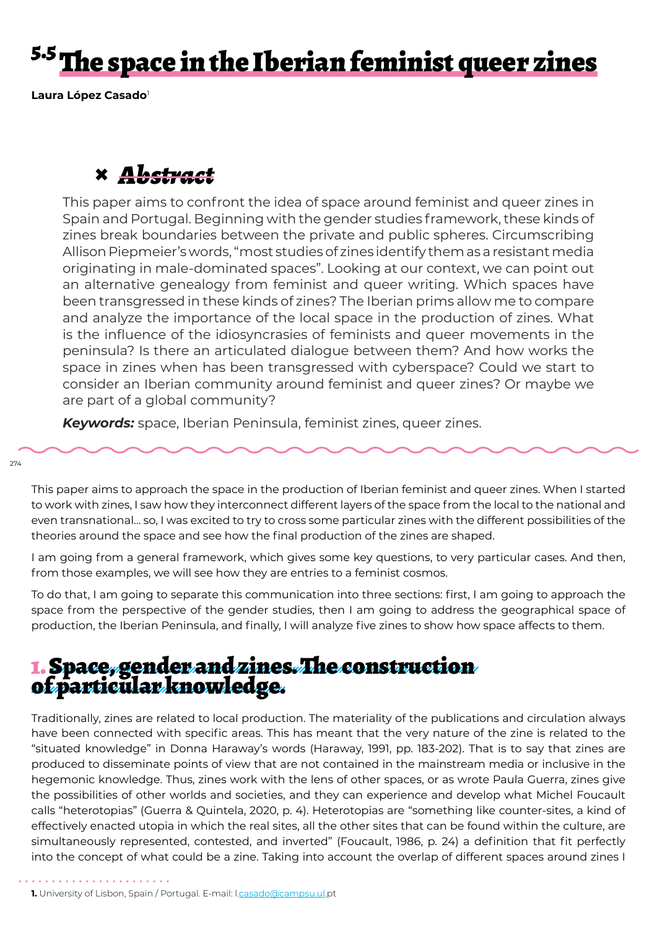# <sup>5.5</sup> The space in the Iberian feminist queer zines

**Laura López Casado**<sup>1</sup>

## **×** *Abstract*

This paper aims to confront the idea of space around feminist and queer zines in Spain and Portugal. Beginning with the gender studies framework, these kinds of zines break boundaries between the private and public spheres. Circumscribing Allison Piepmeier's words, "most studies of zines identify them as a resistant media originating in male-dominated spaces". Looking at our context, we can point out an alternative genealogy from feminist and queer writing. Which spaces have been transgressed in these kinds of zines? The Iberian prims allow me to compare and analyze the importance of the local space in the production of zines. What is the influence of the idiosyncrasies of feminists and queer movements in the peninsula? Is there an articulated dialogue between them? And how works the space in zines when has been transgressed with cyberspace? Could we start to consider an Iberian community around feminist and queer zines? Or maybe we are part of a global community?

*Keywords:* space, Iberian Peninsula, feminist zines, queer zines.

274

This paper aims to approach the space in the production of Iberian feminist and queer zines. When I started to work with zines, I saw how they interconnect different layers of the space from the local to the national and even transnational… so, I was excited to try to cross some particular zines with the different possibilities of the theories around the space and see how the final production of the zines are shaped.

I am going from a general framework, which gives some key questions, to very particular cases. And then, from those examples, we will see how they are entries to a feminist cosmos.

To do that, I am going to separate this communication into three sections: first, I am going to approach the space from the perspective of the gender studies, then I am going to address the geographical space of production, the Iberian Peninsula, and finally, I will analyze five zines to show how space affects to them.

### 1. Space, gender and zines. The construction of particular knowledge.

Traditionally, zines are related to local production. The materiality of the publications and circulation always have been connected with specific areas. This has meant that the very nature of the zine is related to the "situated knowledge" in Donna Haraway's words (Haraway, 1991, pp. 183-202). That is to say that zines are produced to disseminate points of view that are not contained in the mainstream media or inclusive in the hegemonic knowledge. Thus, zines work with the lens of other spaces, or as wrote Paula Guerra, zines give the possibilities of other worlds and societies, and they can experience and develop what Michel Foucault calls "heterotopias" (Guerra & Quintela, 2020, p. 4). Heterotopias are "something like counter-sites, a kind of effectively enacted utopia in which the real sites, all the other sites that can be found within the culture, are simultaneously represented, contested, and inverted" (Foucault, 1986, p. 24) a definition that fit perfectly into the concept of what could be a zine. Taking into account the overlap of different spaces around zines I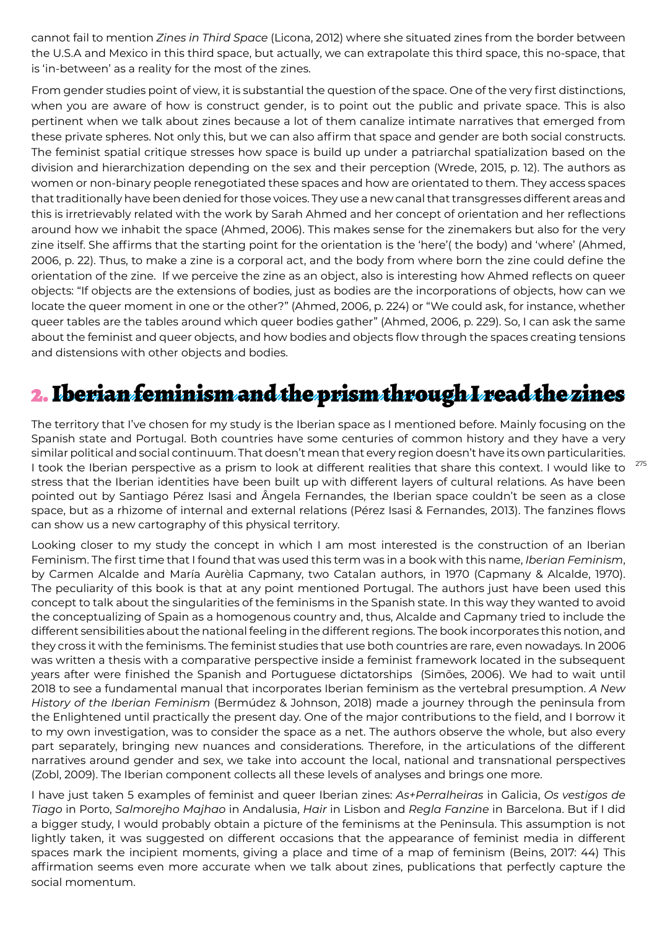cannot fail to mention *Zines in Third Space* (Licona, 2012) where she situated zines from the border between the U.S.A and Mexico in this third space, but actually, we can extrapolate this third space, this no-space, that is 'in-between' as a reality for the most of the zines.

From gender studies point of view, it is substantial the question of the space. One of the very first distinctions, when you are aware of how is construct gender, is to point out the public and private space. This is also pertinent when we talk about zines because a lot of them canalize intimate narratives that emerged from these private spheres. Not only this, but we can also affirm that space and gender are both social constructs. The feminist spatial critique stresses how space is build up under a patriarchal spatialization based on the division and hierarchization depending on the sex and their perception (Wrede, 2015, p. 12). The authors as women or non-binary people renegotiated these spaces and how are orientated to them. They access spaces that traditionally have been denied for those voices. They use a new canal that transgresses different areas and this is irretrievably related with the work by Sarah Ahmed and her concept of orientation and her reflections around how we inhabit the space (Ahmed, 2006). This makes sense for the zinemakers but also for the very zine itself. She affirms that the starting point for the orientation is the 'here'( the body) and 'where' (Ahmed, 2006, p. 22). Thus, to make a zine is a corporal act, and the body from where born the zine could define the orientation of the zine. If we perceive the zine as an object, also is interesting how Ahmed reflects on queer objects: "If objects are the extensions of bodies, just as bodies are the incorporations of objects, how can we locate the queer moment in one or the other?" (Ahmed, 2006, p. 224) or "We could ask, for instance, whether queer tables are the tables around which queer bodies gather" (Ahmed, 2006, p. 229). So, I can ask the same about the feminist and queer objects, and how bodies and objects flow through the spaces creating tensions and distensions with other objects and bodies.

### 2. Iberian feminism and the prism through I read the zines

The territory that I've chosen for my study is the Iberian space as I mentioned before. Mainly focusing on the Spanish state and Portugal. Both countries have some centuries of common history and they have a very similar political and social continuum. That doesn't mean that every region doesn't have its own particularities. I took the Iberian perspective as a prism to look at different realities that share this context. I would like to stress that the Iberian identities have been built up with different layers of cultural relations. As have been pointed out by Santiago Pérez Isasi and Ângela Fernandes, the Iberian space couldn't be seen as a close space, but as a rhizome of internal and external relations (Pérez Isasi & Fernandes, 2013). The fanzines flows can show us a new cartography of this physical territory.

Looking closer to my study the concept in which I am most interested is the construction of an Iberian Feminism. The first time that I found that was used this term was in a book with this name, *Iberian Feminism*, by Carmen Alcalde and María Aurèlia Capmany, two Catalan authors, in 1970 (Capmany & Alcalde, 1970). The peculiarity of this book is that at any point mentioned Portugal. The authors just have been used this concept to talk about the singularities of the feminisms in the Spanish state. In this way they wanted to avoid the conceptualizing of Spain as a homogenous country and, thus, Alcalde and Capmany tried to include the different sensibilities about the national feeling in the different regions. The book incorporates this notion, and they cross it with the feminisms. The feminist studies that use both countries are rare, even nowadays. In 2006 was written a thesis with a comparative perspective inside a feminist framework located in the subsequent years after were finished the Spanish and Portuguese dictatorships (Simões, 2006). We had to wait until 2018 to see a fundamental manual that incorporates Iberian feminism as the vertebral presumption. *A New History of the Iberian Feminism* (Bermúdez & Johnson, 2018) made a journey through the peninsula from the Enlightened until practically the present day. One of the major contributions to the field, and I borrow it to my own investigation, was to consider the space as a net. The authors observe the whole, but also every part separately, bringing new nuances and considerations. Therefore, in the articulations of the different narratives around gender and sex, we take into account the local, national and transnational perspectives (Zobl, 2009). The Iberian component collects all these levels of analyses and brings one more.

I have just taken 5 examples of feminist and queer Iberian zines: *As+Perralheiras* in Galicia, *Os vestigos de Tiago* in Porto, *Salmorejho Majhao* in Andalusia, *Hair* in Lisbon and *Regla Fanzine* in Barcelona. But if I did a bigger study, I would probably obtain a picture of the feminisms at the Peninsula. This assumption is not lightly taken, it was suggested on different occasions that the appearance of feminist media in different spaces mark the incipient moments, giving a place and time of a map of feminism (Beins, 2017: 44) This affirmation seems even more accurate when we talk about zines, publications that perfectly capture the social momentum.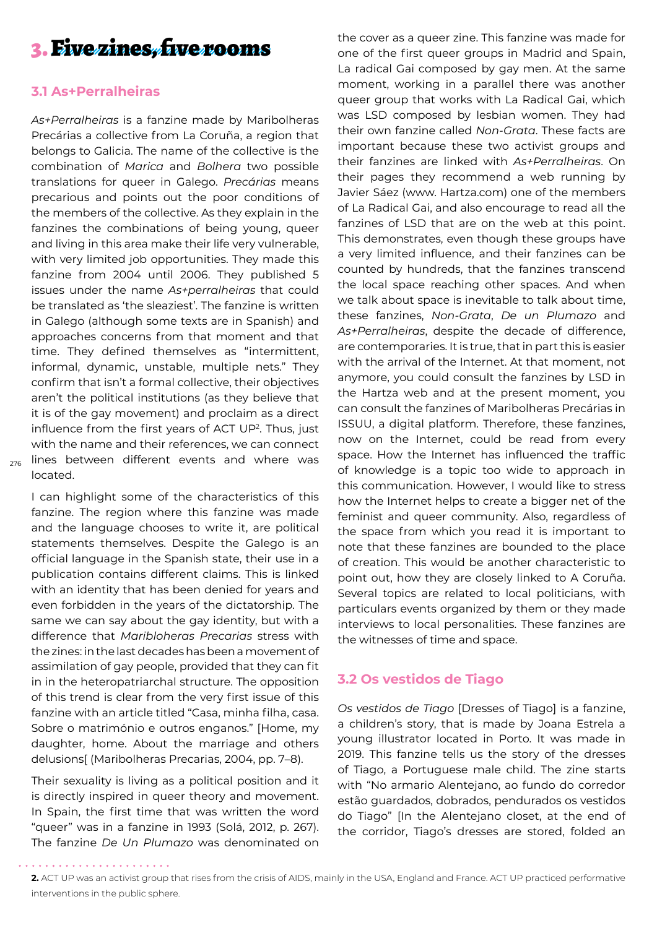### 3. Five zines, five rooms

#### **3.1 As+Perralheiras**

 $_{\rm 276}$  lines between different events and where was *As+Perralheiras* is a fanzine made by Maribolheras Precárias a collective from La Coruña, a region that belongs to Galicia. The name of the collective is the combination of *Marica* and *Bolhera* two possible translations for queer in Galego. *Precárias* means precarious and points out the poor conditions of the members of the collective. As they explain in the fanzines the combinations of being young, queer and living in this area make their life very vulnerable, with very limited job opportunities. They made this fanzine from 2004 until 2006. They published 5 issues under the name *As+perralheiras* that could be translated as 'the sleaziest'. The fanzine is written in Galego (although some texts are in Spanish) and approaches concerns from that moment and that time. They defined themselves as "intermittent, informal, dynamic, unstable, multiple nets." They confirm that isn't a formal collective, their objectives aren't the political institutions (as they believe that it is of the gay movement) and proclaim as a direct influence from the first years of ACT UP<sup>2</sup>. Thus, just with the name and their references, we can connect located.

I can highlight some of the characteristics of this fanzine. The region where this fanzine was made and the language chooses to write it, are political statements themselves. Despite the Galego is an official language in the Spanish state, their use in a publication contains different claims. This is linked with an identity that has been denied for years and even forbidden in the years of the dictatorship. The same we can say about the gay identity, but with a difference that *Maribloheras Precarias* stress with the zines: in the last decades has been a movement of assimilation of gay people, provided that they can fit in in the heteropatriarchal structure. The opposition of this trend is clear from the very first issue of this fanzine with an article titled "Casa, minha filha, casa. Sobre o matrimónio e outros enganos." [Home, my daughter, home. About the marriage and others delusions[ (Maribolheras Precarias, 2004, pp. 7–8).

Their sexuality is living as a political position and it is directly inspired in queer theory and movement. In Spain, the first time that was written the word "queer" was in a fanzine in 1993 (Solá, 2012, p. 267). The fanzine *De Un Plumazo* was denominated on

the cover as a queer zine. This fanzine was made for one of the first queer groups in Madrid and Spain, La radical Gai composed by gay men. At the same moment, working in a parallel there was another queer group that works with La Radical Gai, which was LSD composed by lesbian women. They had their own fanzine called *Non-Grata*. These facts are important because these two activist groups and their fanzines are linked with *As+Perralheiras*. On their pages they recommend a web running by Javier Sáez (www. Hartza.com) one of the members of La Radical Gai, and also encourage to read all the fanzines of LSD that are on the web at this point. This demonstrates, even though these groups have a very limited influence, and their fanzines can be counted by hundreds, that the fanzines transcend the local space reaching other spaces. And when we talk about space is inevitable to talk about time, these fanzines, *Non-Grata*, *De un Plumazo* and *As+Perralheiras*, despite the decade of difference, are contemporaries. It is true, that in part this is easier with the arrival of the Internet. At that moment, not anymore, you could consult the fanzines by LSD in the Hartza web and at the present moment, you can consult the fanzines of Maribolheras Precárias in ISSUU, a digital platform. Therefore, these fanzines, now on the Internet, could be read from every space. How the Internet has influenced the traffic of knowledge is a topic too wide to approach in this communication. However, I would like to stress how the Internet helps to create a bigger net of the feminist and queer community. Also, regardless of the space from which you read it is important to note that these fanzines are bounded to the place of creation. This would be another characteristic to point out, how they are closely linked to A Coruña. Several topics are related to local politicians, with particulars events organized by them or they made interviews to local personalities. These fanzines are the witnesses of time and space.

#### **3.2 Os vestidos de Tiago**

*Os vestidos de Tiago* [Dresses of Tiago] is a fanzine, a children's story, that is made by Joana Estrela a young illustrator located in Porto. It was made in 2019. This fanzine tells us the story of the dresses of Tiago, a Portuguese male child. The zine starts with "No armario Alentejano, ao fundo do corredor estão guardados, dobrados, pendurados os vestidos do Tiago" [In the Alentejano closet, at the end of the corridor, Tiago's dresses are stored, folded an

**<sup>2.</sup>** ACT UP was an activist group that rises from the crisis of AIDS, mainly in the USA, England and France. ACT UP practiced performative interventions in the public sphere.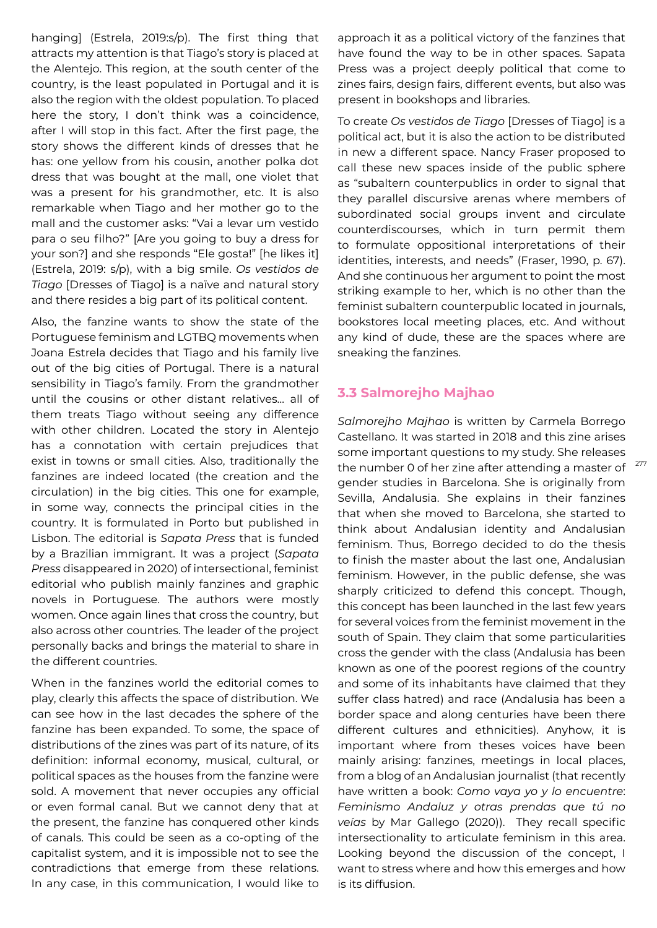hanging] (Estrela, 2019:s/p). The first thing that attracts my attention is that Tiago's story is placed at the Alentejo. This region, at the south center of the country, is the least populated in Portugal and it is also the region with the oldest population. To placed here the story, I don't think was a coincidence, after I will stop in this fact. After the first page, the story shows the different kinds of dresses that he has: one yellow from his cousin, another polka dot dress that was bought at the mall, one violet that was a present for his grandmother, etc. It is also remarkable when Tiago and her mother go to the mall and the customer asks: "Vai a levar um vestido para o seu filho?" [Are you going to buy a dress for your son?] and she responds "Ele gosta!" [he likes it] (Estrela, 2019: s/p), with a big smile. *Os vestidos de Tiago* [Dresses of Tiago] is a naïve and natural story and there resides a big part of its political content.

Also, the fanzine wants to show the state of the Portuguese feminism and LGTBQ movements when Joana Estrela decides that Tiago and his family live out of the big cities of Portugal. There is a natural sensibility in Tiago's family. From the grandmother until the cousins or other distant relatives… all of them treats Tiago without seeing any difference with other children. Located the story in Alentejo has a connotation with certain prejudices that exist in towns or small cities. Also, traditionally the fanzines are indeed located (the creation and the circulation) in the big cities. This one for example, in some way, connects the principal cities in the country. It is formulated in Porto but published in Lisbon. The editorial is *Sapata Press* that is funded by a Brazilian immigrant. It was a project (*Sapata Press* disappeared in 2020) of intersectional, feminist editorial who publish mainly fanzines and graphic novels in Portuguese. The authors were mostly women. Once again lines that cross the country, but also across other countries. The leader of the project personally backs and brings the material to share in the different countries.

When in the fanzines world the editorial comes to play, clearly this affects the space of distribution. We can see how in the last decades the sphere of the fanzine has been expanded. To some, the space of distributions of the zines was part of its nature, of its definition: informal economy, musical, cultural, or political spaces as the houses from the fanzine were sold. A movement that never occupies any official or even formal canal. But we cannot deny that at the present, the fanzine has conquered other kinds of canals. This could be seen as a co-opting of the capitalist system, and it is impossible not to see the contradictions that emerge from these relations. In any case, in this communication, I would like to

approach it as a political victory of the fanzines that have found the way to be in other spaces. Sapata Press was a project deeply political that come to zines fairs, design fairs, different events, but also was present in bookshops and libraries.

To create *Os vestidos de Tiago* [Dresses of Tiago] is a political act, but it is also the action to be distributed in new a different space. Nancy Fraser proposed to call these new spaces inside of the public sphere as "subaltern counterpublics in order to signal that they parallel discursive arenas where members of subordinated social groups invent and circulate counterdiscourses, which in turn permit them to formulate oppositional interpretations of their identities, interests, and needs" (Fraser, 1990, p. 67). And she continuous her argument to point the most striking example to her, which is no other than the feminist subaltern counterpublic located in journals, bookstores local meeting places, etc. And without any kind of dude, these are the spaces where are sneaking the fanzines.

#### **3.3 Salmorejho Majhao**

*Salmorejho Majhao* is written by Carmela Borrego Castellano. It was started in 2018 and this zine arises some important questions to my study. She releases the number 0 of her zine after attending a master of gender studies in Barcelona. She is originally from Sevilla, Andalusia. She explains in their fanzines that when she moved to Barcelona, she started to think about Andalusian identity and Andalusian feminism. Thus, Borrego decided to do the thesis to finish the master about the last one, Andalusian feminism. However, in the public defense, she was sharply criticized to defend this concept. Though, this concept has been launched in the last few years for several voices from the feminist movement in the south of Spain. They claim that some particularities cross the gender with the class (Andalusia has been known as one of the poorest regions of the country and some of its inhabitants have claimed that they suffer class hatred) and race (Andalusia has been a border space and along centuries have been there different cultures and ethnicities). Anyhow, it is important where from theses voices have been mainly arising: fanzines, meetings in local places, from a blog of an Andalusian journalist (that recently have written a book: *Como vaya yo y lo encuentre*: *Feminismo Andaluz y otras prendas que tú no veías* by Mar Gallego (2020)). They recall specific intersectionality to articulate feminism in this area. Looking beyond the discussion of the concept, I want to stress where and how this emerges and how is its diffusion.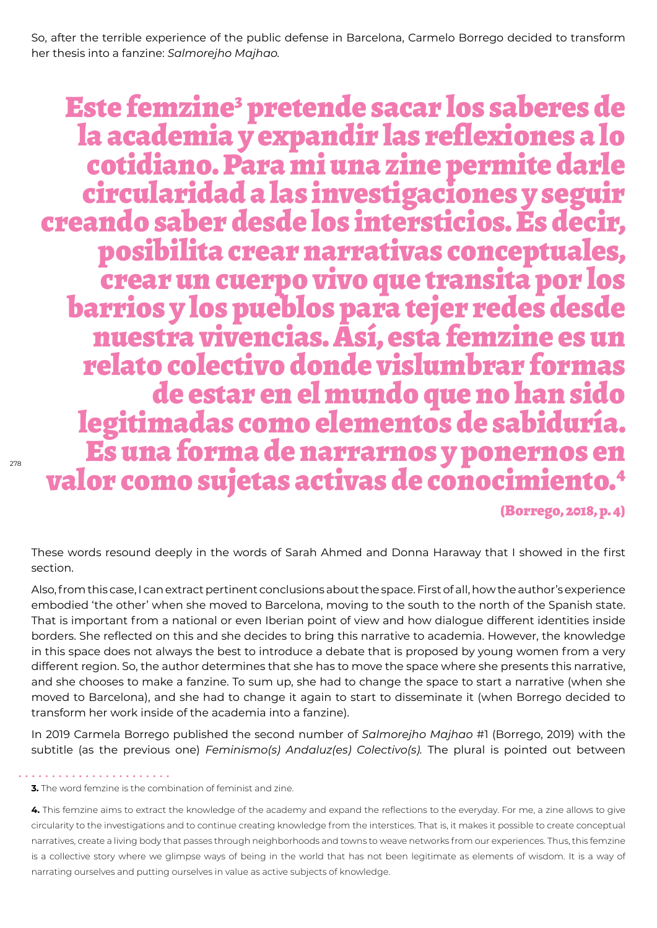So, after the terrible experience of the public defense in Barcelona, Carmelo Borrego decided to transform her thesis into a fanzine: *Salmorejho Majhao.*

Este femzine<sup>3</sup> pretende sacar los saberes de la academia y expandir las reflexiones a lo cotidiano. Para mi una zine permite darle circularidad a las investigaciones y seguir creando saber desde los intersticios. Es decir, posibilita crear narrativas conceptuales, barrios y los pueblos para tejer redes desde nuestra vivencias. Así, esta femzine es un relato colectivo donde vislumbrar formas legitimadas como elementos de sabiduría. Es una forma de narrarnos y ponernos en valor como sujetas activas de conocimiento.4

(Borrego, 2018, p. 4)

These words resound deeply in the words of Sarah Ahmed and Donna Haraway that I showed in the first section.

Also, from this case, I can extract pertinent conclusions about the space. First of all, how the author's experience embodied 'the other' when she moved to Barcelona, moving to the south to the north of the Spanish state. That is important from a national or even Iberian point of view and how dialogue different identities inside borders. She reflected on this and she decides to bring this narrative to academia. However, the knowledge in this space does not always the best to introduce a debate that is proposed by young women from a very different region. So, the author determines that she has to move the space where she presents this narrative, and she chooses to make a fanzine. To sum up, she had to change the space to start a narrative (when she moved to Barcelona), and she had to change it again to start to disseminate it (when Borrego decided to transform her work inside of the academia into a fanzine).

In 2019 Carmela Borrego published the second number of *Salmorejho Majhao* #1 (Borrego, 2019) with the subtitle (as the previous one) *Feminismo(s) Andaluz(es) Colectivo(s).* The plural is pointed out between

. . . . . . . . . . . . . .

**<sup>3.</sup>** The word femzine is the combination of feminist and zine.

**<sup>4.</sup>** This femzine aims to extract the knowledge of the academy and expand the reflections to the everyday. For me, a zine allows to give circularity to the investigations and to continue creating knowledge from the interstices. That is, it makes it possible to create conceptual narratives, create a living body that passes through neighborhoods and towns to weave networks from our experiences. Thus, this femzine is a collective story where we glimpse ways of being in the world that has not been legitimate as elements of wisdom. It is a way of narrating ourselves and putting ourselves in value as active subjects of knowledge.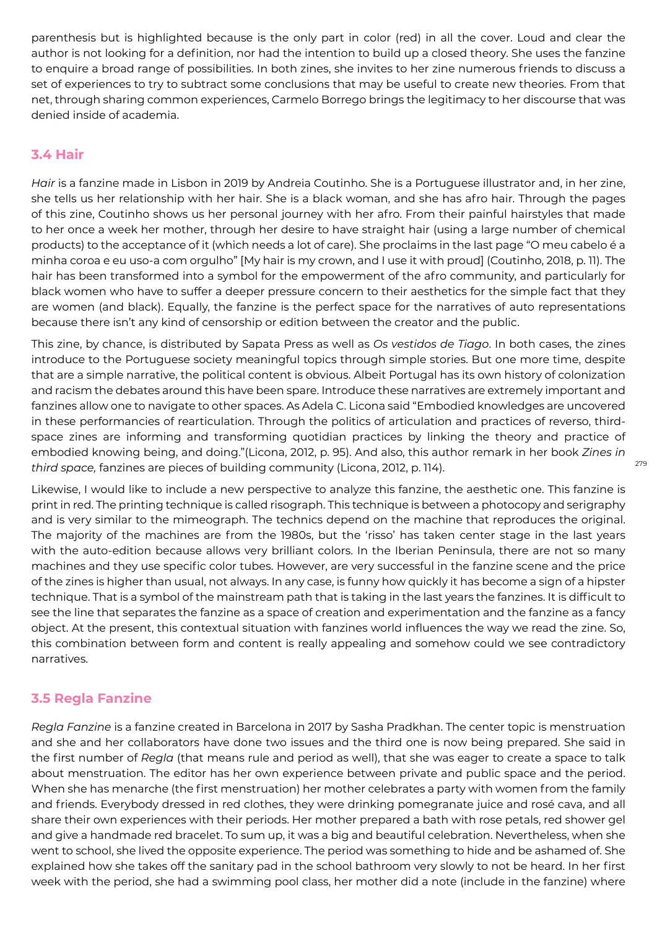parenthesis but is highlighted because is the only part in color (red) in all the cover. Loud and clear the author is not looking for a definition, nor had the intention to build up a closed theory. She uses the fanzine to enquire a broad range of possibilities. In both zines, she invites to her zine numerous friends to discuss a set of experiences to try to subtract some conclusions that may be useful to create new theories. From that net, through sharing common experiences, Carmelo Borrego brings the legitimacy to her discourse that was denied inside of academia.

#### **3.4 Hair**

*Hair* is a fanzine made in Lisbon in 2019 by Andreia Coutinho. She is a Portuguese illustrator and, in her zine, she tells us her relationship with her hair. She is a black woman, and she has afro hair. Through the pages of this zine, Coutinho shows us her personal journey with her afro. From their painful hairstyles that made to her once a week her mother, through her desire to have straight hair (using a large number of chemical products) to the acceptance of it (which needs a lot of care). She proclaims in the last page "O meu cabelo é a minha coroa e eu uso-a com orgulho" [My hair is my crown, and I use it with proud] (Coutinho, 2018, p. 11). The hair has been transformed into a symbol for the empowerment of the afro community, and particularly for black women who have to suffer a deeper pressure concern to their aesthetics for the simple fact that they are women (and black). Equally, the fanzine is the perfect space for the narratives of auto representations because there isn't any kind of censorship or edition between the creator and the public.

This zine, by chance, is distributed by Sapata Press as well as *Os vestidos de Tiago*. In both cases, the zines introduce to the Portuguese society meaningful topics through simple stories. But one more time, despite that are a simple narrative, the political content is obvious. Albeit Portugal has its own history of colonization and racism the debates around this have been spare. Introduce these narratives are extremely important and fanzines allow one to navigate to other spaces. As Adela C. Licona said "Embodied knowledges are uncovered in these performancies of rearticulation. Through the politics of articulation and practices of reverso, thirdspace zines are informing and transforming quotidian practices by linking the theory and practice of embodied knowing being, and doing."(Licona, 2012, p. 95). And also, this author remark in her book *Zines in third space,* fanzines are pieces of building community (Licona, 2012, p. 114).

Likewise, I would like to include a new perspective to analyze this fanzine, the aesthetic one. This fanzine is print in red. The printing technique is called risograph. This technique is between a photocopy and serigraphy and is very similar to the mimeograph. The technics depend on the machine that reproduces the original. The majority of the machines are from the 1980s, but the 'risso' has taken center stage in the last years with the auto-edition because allows very brilliant colors. In the Iberian Peninsula, there are not so many machines and they use specific color tubes. However, are very successful in the fanzine scene and the price of the zines is higher than usual, not always. In any case, is funny how quickly it has become a sign of a hipster technique. That is a symbol of the mainstream path that is taking in the last years the fanzines. It is difficult to see the line that separates the fanzine as a space of creation and experimentation and the fanzine as a fancy object. At the present, this contextual situation with fanzines world influences the way we read the zine. So, this combination between form and content is really appealing and somehow could we see contradictory narratives.

#### **3.5 Regla Fanzine**

*Regla Fanzine* is a fanzine created in Barcelona in 2017 by Sasha Pradkhan. The center topic is menstruation and she and her collaborators have done two issues and the third one is now being prepared. She said in the first number of *Regla* (that means rule and period as well), that she was eager to create a space to talk about menstruation. The editor has her own experience between private and public space and the period. When she has menarche (the first menstruation) her mother celebrates a party with women from the family and friends. Everybody dressed in red clothes, they were drinking pomegranate juice and rosé cava, and all share their own experiences with their periods. Her mother prepared a bath with rose petals, red shower gel and give a handmade red bracelet. To sum up, it was a big and beautiful celebration. Nevertheless, when she went to school, she lived the opposite experience. The period was something to hide and be ashamed of. She explained how she takes off the sanitary pad in the school bathroom very slowly to not be heard. In her first week with the period, she had a swimming pool class, her mother did a note (include in the fanzine) where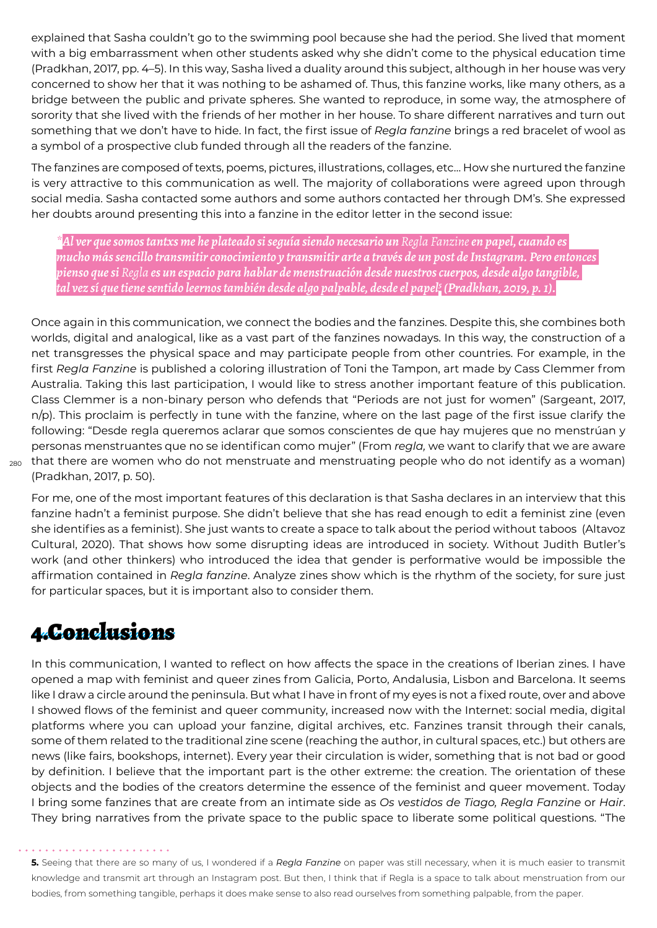explained that Sasha couldn't go to the swimming pool because she had the period. She lived that moment with a big embarrassment when other students asked why she didn't come to the physical education time (Pradkhan, 2017, pp. 4–5). In this way, Sasha lived a duality around this subject, although in her house was very concerned to show her that it was nothing to be ashamed of. Thus, this fanzine works, like many others, as a bridge between the public and private spheres. She wanted to reproduce, in some way, the atmosphere of sorority that she lived with the friends of her mother in her house. To share different narratives and turn out something that we don't have to hide. In fact, the first issue of *Regla fanzine* brings a red bracelet of wool as a symbol of a prospective club funded through all the readers of the fanzine.

The fanzines are composed of texts, poems, pictures, illustrations, collages, etc… How she nurtured the fanzine is very attractive to this communication as well. The majority of collaborations were agreed upon through social media. Sasha contacted some authors and some authors contacted her through DM's. She expressed her doubts around presenting this into a fanzine in the editor letter in the second issue:

*\*Al ver que somos tantxs me he plateado si seguía siendo necesario un Regla Fanzine en papel, cuando es mucho más sencillo transmitir conocimiento y transmitir arte a través de un post de Instagram. Pero entonces pienso que si Regla es un espacio para hablar de menstruación desde nuestros cuerpos, desde algo tangible, tal vez sí que tiene sentido leernos también desde algo palpable, desde el papel5 (Pradkhan, 2019, p. 1).*

280 that there are women who do not menstruate and menstruating people who do not identify as a woman) Once again in this communication, we connect the bodies and the fanzines. Despite this, she combines both worlds, digital and analogical, like as a vast part of the fanzines nowadays. In this way, the construction of a net transgresses the physical space and may participate people from other countries. For example, in the first *Regla Fanzine* is published a coloring illustration of Toni the Tampon, art made by Cass Clemmer from Australia. Taking this last participation, I would like to stress another important feature of this publication. Class Clemmer is a non-binary person who defends that "Periods are not just for women" (Sargeant, 2017, n/p). This proclaim is perfectly in tune with the fanzine, where on the last page of the first issue clarify the following: "Desde regla queremos aclarar que somos conscientes de que hay mujeres que no menstrúan y personas menstruantes que no se identifican como mujer" (From *regla,* we want to clarify that we are aware (Pradkhan, 2017, p. 50).

For me, one of the most important features of this declaration is that Sasha declares in an interview that this fanzine hadn't a feminist purpose. She didn't believe that she has read enough to edit a feminist zine (even she identifies as a feminist). She just wants to create a space to talk about the period without taboos (Altavoz Cultural, 2020). That shows how some disrupting ideas are introduced in society. Without Judith Butler's work (and other thinkers) who introduced the idea that gender is performative would be impossible the affirmation contained in *Regla fanzine*. Analyze zines show which is the rhythm of the society, for sure just for particular spaces, but it is important also to consider them.

### 4.Conclusions

In this communication, I wanted to reflect on how affects the space in the creations of Iberian zines. I have opened a map with feminist and queer zines from Galicia, Porto, Andalusia, Lisbon and Barcelona. It seems like I draw a circle around the peninsula. But what I have in front of my eyes is not a fixed route, over and above I showed flows of the feminist and queer community, increased now with the Internet: social media, digital platforms where you can upload your fanzine, digital archives, etc. Fanzines transit through their canals, some of them related to the traditional zine scene (reaching the author, in cultural spaces, etc.) but others are news (like fairs, bookshops, internet). Every year their circulation is wider, something that is not bad or good by definition. I believe that the important part is the other extreme: the creation. The orientation of these objects and the bodies of the creators determine the essence of the feminist and queer movement. Today I bring some fanzines that are create from an intimate side as *Os vestidos de Tiago, Regla Fanzine* or *Hair*. They bring narratives from the private space to the public space to liberate some political questions. "The

**<sup>5.</sup>** Seeing that there are so many of us, I wondered if a *Regla Fanzine* on paper was still necessary, when it is much easier to transmit knowledge and transmit art through an Instagram post. But then, I think that if Regla is a space to talk about menstruation from our bodies, from something tangible, perhaps it does make sense to also read ourselves from something palpable, from the paper.